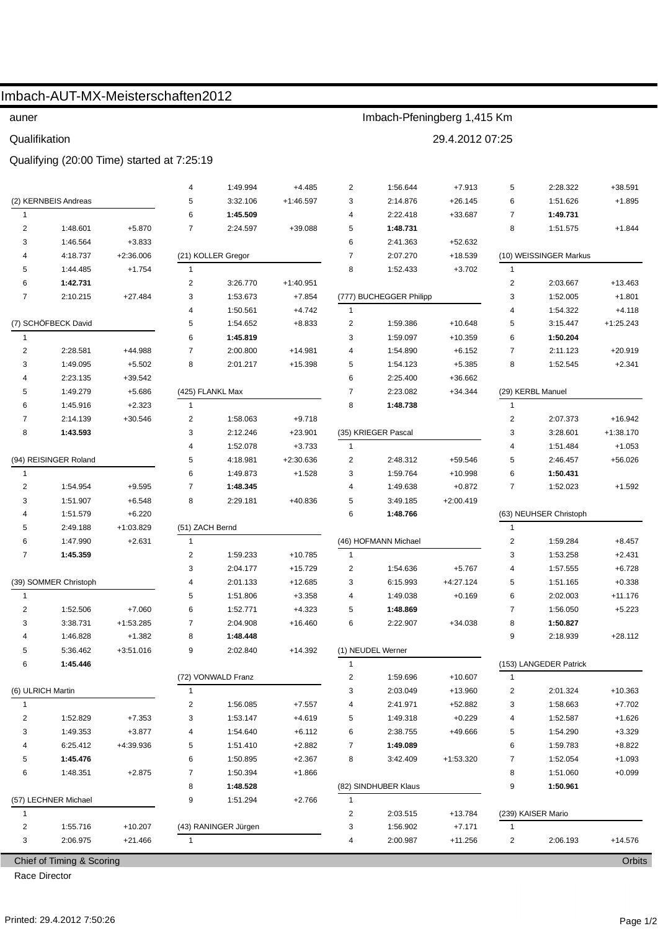|                                |                           | Imbach-AUT-MX-Meisterschaften2012          |                    |                      |                             |                                       |                         |                       |                         |                        |                       |
|--------------------------------|---------------------------|--------------------------------------------|--------------------|----------------------|-----------------------------|---------------------------------------|-------------------------|-----------------------|-------------------------|------------------------|-----------------------|
| auner                          |                           |                                            |                    |                      | Imbach-Pfeningberg 1,415 Km |                                       |                         |                       |                         |                        |                       |
| Qualifikation                  |                           |                                            |                    |                      | 29.4.2012 07:25             |                                       |                         |                       |                         |                        |                       |
|                                |                           | Qualifying (20:00 Time) started at 7:25:19 |                    |                      |                             |                                       |                         |                       |                         |                        |                       |
|                                |                           |                                            |                    | 1:49.994             |                             |                                       | 1:56.644                |                       |                         | 2:28.322               | $+38.591$             |
|                                | (2) KERNBEIS Andreas      |                                            | 4<br>5             | 3:32.106             | $+4.485$<br>$+1:46.597$     | 2<br>3                                | 2:14.876                | $+7.913$<br>$+26.145$ | 5<br>6                  | 1:51.626               | $+1.895$              |
| $\mathbf{1}$                   |                           |                                            | 6                  | 1:45.509             |                             | 4                                     | 2:22.418                | +33.687               | 7                       | 1:49.731               |                       |
| $\overline{2}$                 | 1:48.601                  | $+5.870$                                   | 7                  | 2:24.597             | +39.088                     | 5                                     | 1:48.731                |                       | 8                       | 1:51.575               | $+1.844$              |
| 3                              | 1:46.564                  | $+3.833$                                   |                    |                      |                             | 6                                     | 2:41.363                | +52.632               |                         |                        |                       |
| 4                              | 4:18.737                  | $+2:36.006$                                | (21) KOLLER Gregor |                      |                             | $\overline{7}$<br>2:07.270<br>+18.539 |                         |                       | (10) WEISSINGER Markus  |                        |                       |
| 5                              | 1:44.485                  | $+1.754$                                   | $\mathbf{1}$       |                      |                             | 8                                     | 1:52.433                | $+3.702$              | $\mathbf{1}$            |                        |                       |
| 6                              | 1:42.731                  |                                            | 2                  | 3:26.770             | $+1:40.951$                 |                                       |                         |                       | $\overline{\mathbf{c}}$ | 2:03.667               | +13.463               |
| 7                              | 2:10.215                  | $+27.484$                                  | 3                  | 1:53.673             | $+7.854$                    |                                       | (777) BUCHEGGER Philipp |                       | 3                       | 1:52.005               | $+1.801$              |
|                                |                           |                                            | 4                  | 1:50.561             | $+4.742$                    | $\mathbf{1}$                          |                         |                       | 4                       | 1:54.322               | $+4.118$              |
|                                | (7) SCHÖFBECK David       |                                            | 5                  | 1:54.652             | $+8.833$                    | $\overline{c}$                        | 1:59.386                | +10.648               | 5                       | 3:15.447               | $+1:25.243$           |
| 1                              |                           |                                            | 6                  | 1:45.819             |                             | 3                                     | 1:59.097                | +10.359               | 6                       | 1:50.204               |                       |
| $\overline{2}$                 | 2:28.581                  | +44.988                                    | $\overline{7}$     | 2:00.800             | $+14.981$                   | 4                                     | 1:54.890                | $+6.152$              | $\overline{7}$          | 2:11.123               | $+20.919$             |
| 3                              | 1:49.095                  | $+5.502$                                   | 8                  | 2:01.217             | $+15.398$                   | 5                                     | 1:54.123                | $+5.385$              | 8                       | 1:52.545               | $+2.341$              |
| 4                              | 2:23.135                  | $+39.542$                                  |                    |                      |                             | 6                                     | 2:25.400                | +36.662               |                         |                        |                       |
| 5                              | 1:49.279                  | $+5.686$                                   |                    | (425) FLANKL Max     |                             | $\overline{7}$                        | 2:23.082                | $+34.344$             |                         | (29) KERBL Manuel      |                       |
| 6                              | 1:45.916                  | $+2.323$                                   | $\mathbf{1}$       |                      |                             | 8                                     | 1:48.738                |                       | $\mathbf{1}$            |                        |                       |
| 7                              | 2:14.139                  | $+30.546$                                  | 2                  | 1:58.063             | $+9.718$                    |                                       |                         |                       | $\boldsymbol{2}$        | 2:07.373               | $+16.942$             |
| 8                              | 1:43.593                  |                                            | 3                  | 2:12.246             | $+23.901$                   |                                       | (35) KRIEGER Pascal     |                       | 3                       | 3:28.601               | $+1:38.170$           |
|                                |                           |                                            | 4                  | 1:52.078             | $+3.733$                    | $\mathbf{1}$                          |                         |                       | 4                       | 1:51.484               | $+1.053$              |
|                                | (94) REISINGER Roland     |                                            | 5                  | 4:18.981             | $+2:30.636$                 | $\overline{2}$                        | 2:48.312                | +59.546               | 5                       | 2:46.457               | $+56.026$             |
| $\mathbf{1}$                   |                           |                                            | 6                  | 1:49.873             | $+1.528$                    | 3                                     | 1:59.764                | +10.998               | 6                       | 1:50.431               |                       |
| $\overline{2}$                 | 1:54.954                  | $+9.595$                                   | 7                  | 1:48.345             |                             | 4                                     | 1:49.638                | $+0.872$              | $\overline{7}$          | 1:52.023               | $+1.592$              |
| 3                              | 1:51.907                  | $+6.548$                                   | 8                  | 2:29.181             | +40.836                     | 5                                     | 3:49.185                | $+2:00.419$           |                         |                        |                       |
| 4                              | 1:51.579                  | $+6.220$                                   |                    |                      |                             | 6                                     | 1:48.766                |                       |                         | (63) NEUHSER Christoph |                       |
| 5                              | 2:49.188                  | +1:03.829                                  | (51) ZACH Bernd    |                      |                             |                                       |                         |                       | $\mathbf{1}$            |                        |                       |
| 6                              | 1:47.990                  | $+2.631$                                   | $\mathbf{1}$       |                      |                             |                                       | (46) HOFMANN Michael    |                       | $\overline{2}$          | 1:59.284               | $+8.457$              |
| 7                              | 1:45.359                  |                                            | 2                  | 1:59.233             | +10.785                     | $\mathbf{1}$                          |                         |                       | 3                       | 1:53.258               | $+2.431$              |
|                                |                           |                                            | 3                  | 2:04.177             | $+15.729$                   | 2                                     | 1:54.636                | $+5.767$              | 4                       | 1:57.555               | $+6.728$              |
|                                | (39) SOMMER Christoph     |                                            | 4                  | 2:01.133             | $+12.685$                   | 3                                     | 6:15.993                | +4:27.124             | 5                       | 1:51.165               | $+0.338$              |
| $\mathbf{1}$<br>$\overline{2}$ |                           |                                            | 5<br>6             | 1:51.806<br>1:52.771 | $+3.358$<br>$+4.323$        | 4                                     | 1:49.038<br>1:48.869    | $+0.169$              | 6<br>$\overline{7}$     | 2:02.003               | $+11.176$<br>$+5.223$ |
| 3                              | 1:52.506<br>3:38.731      | $+7.060$<br>+1:53.285                      | 7                  | 2:04.908             | $+16.460$                   | 5<br>6                                | 2:22.907                | $+34.038$             | 8                       | 1:56.050<br>1:50.827   |                       |
| 4                              | 1:46.828                  | $+1.382$                                   | 8                  | 1:48.448             |                             |                                       |                         |                       | 9                       | 2:18.939               | $+28.112$             |
| 5                              | 5:36.462                  | $+3:51.016$                                | 9                  | 2:02.840             | $+14.392$                   |                                       | (1) NEUDEL Werner       |                       |                         |                        |                       |
| 6                              | 1:45.446                  |                                            |                    |                      |                             | 1                                     |                         |                       |                         | (153) LANGEDER Patrick |                       |
|                                |                           |                                            |                    | (72) VONWALD Franz   |                             | $\overline{\mathbf{c}}$               | 1:59.696                | +10.607               | 1                       |                        |                       |
| (6) ULRICH Martin              |                           |                                            | 1                  |                      |                             | 3                                     | 2:03.049                | +13.960               | 2                       | 2:01.324               | $+10.363$             |
| $\mathbf{1}$                   |                           |                                            | 2                  | 1:56.085             | $+7.557$                    | 4                                     | 2:41.971                | +52.882               | 3                       | 1:58.663               | $+7.702$              |
| $\overline{\mathbf{c}}$        | 1:52.829                  | $+7.353$                                   | 3                  | 1:53.147             | $+4.619$                    | 5                                     | 1:49.318                | $+0.229$              | 4                       | 1:52.587               | $+1.626$              |
| 3                              | 1:49.353                  | $+3.877$                                   | 4                  | 1:54.640             | $+6.112$                    | 6                                     | 2:38.755                | +49.666               | 5                       | 1:54.290               | $+3.329$              |
| 4                              | 6:25.412                  | +4:39.936                                  | 5                  | 1:51.410             | $+2.882$                    | 7                                     | 1:49.089                |                       | 6                       | 1:59.783               | $+8.822$              |
| 5                              | 1:45.476                  |                                            | 6                  | 1:50.895             | $+2.367$                    | 8                                     | 3:42.409                | +1:53.320             | $\overline{7}$          | 1:52.054               | $+1.093$              |
| 6                              | 1:48.351                  | $+2.875$                                   | 7                  | 1:50.394             | $+1.866$                    |                                       |                         |                       | 8                       | 1:51.060               | $+0.099$              |
|                                |                           |                                            | 8                  | 1:48.528             |                             |                                       | (82) SINDHUBER Klaus    |                       | 9                       | 1:50.961               |                       |
| (57) LECHNER Michael           |                           | 9                                          | 1:51.294           | $+2.766$             | $\mathbf{1}$                |                                       |                         |                       |                         |                        |                       |
| 1                              |                           |                                            |                    |                      |                             | 2                                     | 2:03.515                | +13.784               |                         | (239) KAISER Mario     |                       |
| $\overline{2}$                 | 1:55.716                  | $+10.207$                                  |                    | (43) RANINGER Jürgen |                             | 3                                     | 1:56.902                | $+7.171$              | $\mathbf{1}$            |                        |                       |
| 3                              | 2:06.975                  | $+21.466$                                  | $\mathbf{1}$       |                      |                             | 4                                     | 2:00.987                | $+11.256$             | 2                       | 2:06.193               | $+14.576$             |
|                                | Chief of Timing & Scoring |                                            |                    |                      |                             |                                       |                         |                       |                         |                        | Orbits                |

Race Director